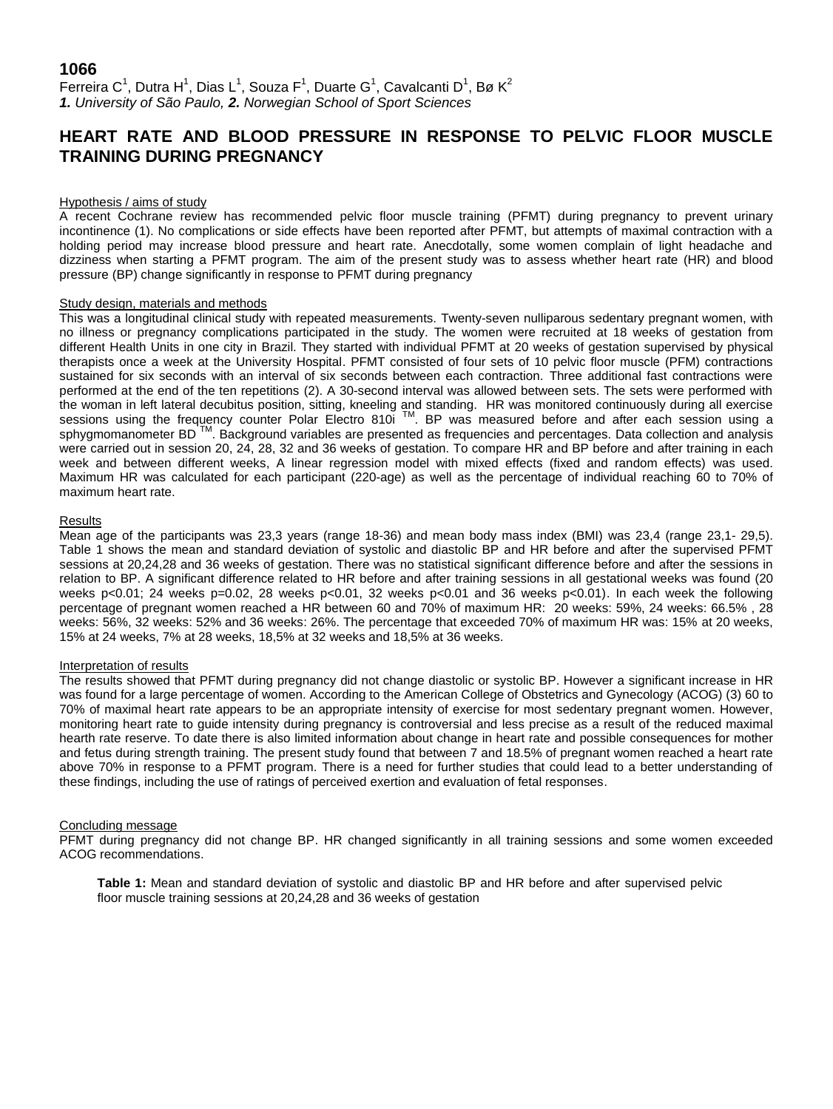## **1066**

Ferreira C<sup>1</sup>, Dutra H<sup>1</sup>, Dias L<sup>1</sup>, Souza F<sup>1</sup>, Duarte G<sup>1</sup>, Cavalcanti D<sup>1</sup>, Bø K<sup>2</sup> *1. University of São Paulo, 2. Norwegian School of Sport Sciences*

# **HEART RATE AND BLOOD PRESSURE IN RESPONSE TO PELVIC FLOOR MUSCLE TRAINING DURING PREGNANCY**

#### Hypothesis / aims of study

A recent Cochrane review has recommended pelvic floor muscle training (PFMT) during pregnancy to prevent urinary incontinence (1). No complications or side effects have been reported after PFMT, but attempts of maximal contraction with a holding period may increase blood pressure and heart rate. Anecdotally, some women complain of light headache and dizziness when starting a PFMT program. The aim of the present study was to assess whether heart rate (HR) and blood pressure (BP) change significantly in response to PFMT during pregnancy

### Study design, materials and methods

This was a longitudinal clinical study with repeated measurements. Twenty-seven nulliparous sedentary pregnant women, with no illness or pregnancy complications participated in the study. The women were recruited at 18 weeks of gestation from different Health Units in one city in Brazil. They started with individual PFMT at 20 weeks of gestation supervised by physical therapists once a week at the University Hospital. PFMT consisted of four sets of 10 pelvic floor muscle (PFM) contractions sustained for six seconds with an interval of six seconds between each contraction. Three additional fast contractions were performed at the end of the ten repetitions (2). A 30-second interval was allowed between sets. The sets were performed with the woman in left lateral decubitus position, sitting, kneeling and standing. HR was monitored continuously during all exercise sessions using the frequency counter Polar Electro 810i ™. BP was measured before and after each session using a sphygmomanometer BD<sup>™</sup>. Background variables are presented as frequencies and percentages. Data collection and analysis were carried out in session 20, 24, 28, 32 and 36 weeks of gestation. To compare HR and BP before and after training in each week and between different weeks, A linear regression model with mixed effects (fixed and random effects) was used. Maximum HR was calculated for each participant (220-age) as well as the percentage of individual reaching 60 to 70% of maximum heart rate.

### Results

Mean age of the participants was 23,3 years (range 18-36) and mean body mass index (BMI) was 23,4 (range 23,1- 29,5). Table 1 shows the mean and standard deviation of systolic and diastolic BP and HR before and after the supervised PFMT sessions at 20,24,28 and 36 weeks of gestation. There was no statistical significant difference before and after the sessions in relation to BP. A significant difference related to HR before and after training sessions in all gestational weeks was found (20 weeks p<0.01; 24 weeks p=0.02, 28 weeks p<0.01, 32 weeks p<0.01 and 36 weeks p<0.01). In each week the following percentage of pregnant women reached a HR between 60 and 70% of maximum HR: 20 weeks: 59%, 24 weeks: 66.5% , 28 weeks: 56%, 32 weeks: 52% and 36 weeks: 26%. The percentage that exceeded 70% of maximum HR was: 15% at 20 weeks, 15% at 24 weeks, 7% at 28 weeks, 18,5% at 32 weeks and 18,5% at 36 weeks.

### Interpretation of results

The results showed that PFMT during pregnancy did not change diastolic or systolic BP. However a significant increase in HR was found for a large percentage of women. According to the American College of Obstetrics and Gynecology (ACOG) (3) 60 to 70% of maximal heart rate appears to be an appropriate intensity of exercise for most sedentary pregnant women. However, monitoring heart rate to guide intensity during pregnancy is controversial and less precise as a result of the reduced maximal hearth rate reserve. To date there is also limited information about change in heart rate and possible consequences for mother and fetus during strength training. The present study found that between 7 and 18.5% of pregnant women reached a heart rate above 70% in response to a PFMT program. There is a need for further studies that could lead to a better understanding of these findings, including the use of ratings of perceived exertion and evaluation of fetal responses.

#### Concluding message

PFMT during pregnancy did not change BP. HR changed significantly in all training sessions and some women exceeded ACOG recommendations.

**Table 1:** Mean and standard deviation of systolic and diastolic BP and HR before and after supervised pelvic floor muscle training sessions at 20,24,28 and 36 weeks of gestation